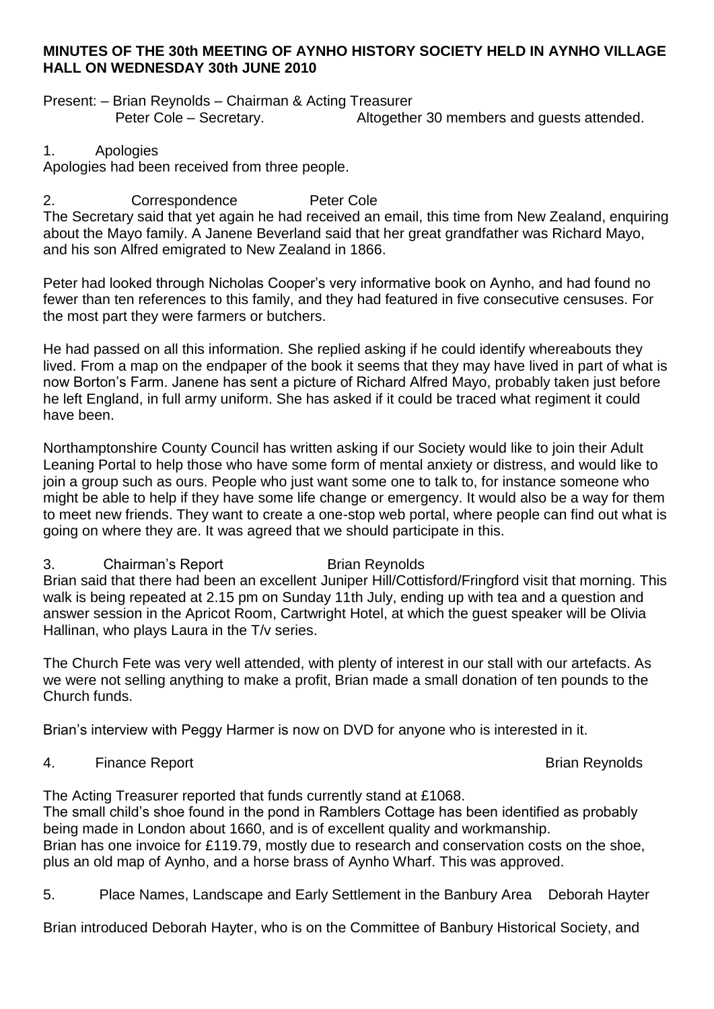### **MINUTES OF THE 30th MEETING OF AYNHO HISTORY SOCIETY HELD IN AYNHO VILLAGE HALL ON WEDNESDAY 30th JUNE 2010**

Present: – Brian Reynolds – Chairman & Acting Treasurer Peter Cole – Secretary. Altogether 30 members and guests attended.

### 1. Apologies

Apologies had been received from three people.

## 2. Correspondence Peter Cole

The Secretary said that yet again he had received an email, this time from New Zealand, enquiring about the Mayo family. A Janene Beverland said that her great grandfather was Richard Mayo, and his son Alfred emigrated to New Zealand in 1866.

Peter had looked through Nicholas Cooper's very informative book on Aynho, and had found no fewer than ten references to this family, and they had featured in five consecutive censuses. For the most part they were farmers or butchers.

He had passed on all this information. She replied asking if he could identify whereabouts they lived. From a map on the endpaper of the book it seems that they may have lived in part of what is now Borton's Farm. Janene has sent a picture of Richard Alfred Mayo, probably taken just before he left England, in full army uniform. She has asked if it could be traced what regiment it could have been.

Northamptonshire County Council has written asking if our Society would like to join their Adult Leaning Portal to help those who have some form of mental anxiety or distress, and would like to join a group such as ours. People who just want some one to talk to, for instance someone who might be able to help if they have some life change or emergency. It would also be a way for them to meet new friends. They want to create a one-stop web portal, where people can find out what is going on where they are. It was agreed that we should participate in this.

### 3. Chairman's Report Brian Reynolds

Brian said that there had been an excellent Juniper Hill/Cottisford/Fringford visit that morning. This walk is being repeated at 2.15 pm on Sunday 11th July, ending up with tea and a question and answer session in the Apricot Room, Cartwright Hotel, at which the guest speaker will be Olivia Hallinan, who plays Laura in the T/v series.

The Church Fete was very well attended, with plenty of interest in our stall with our artefacts. As we were not selling anything to make a profit, Brian made a small donation of ten pounds to the Church funds.

Brian's interview with Peggy Harmer is now on DVD for anyone who is interested in it.

# 4. Finance Report **Brian Reynolds**

The Acting Treasurer reported that funds currently stand at £1068. The small child's shoe found in the pond in Ramblers Cottage has been identified as probably being made in London about 1660, and is of excellent quality and workmanship. Brian has one invoice for £119.79, mostly due to research and conservation costs on the shoe, plus an old map of Aynho, and a horse brass of Aynho Wharf. This was approved.

5. Place Names, Landscape and Early Settlement in the Banbury Area Deborah Hayter

Brian introduced Deborah Hayter, who is on the Committee of Banbury Historical Society, and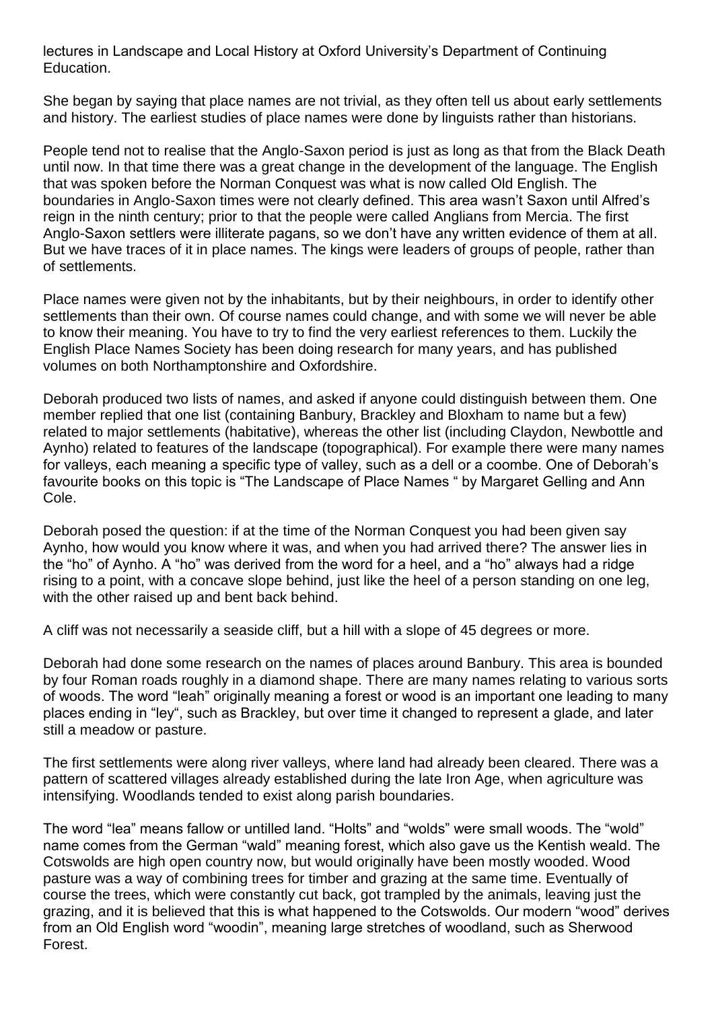lectures in Landscape and Local History at Oxford University's Department of Continuing Education.

She began by saying that place names are not trivial, as they often tell us about early settlements and history. The earliest studies of place names were done by linguists rather than historians.

People tend not to realise that the Anglo-Saxon period is just as long as that from the Black Death until now. In that time there was a great change in the development of the language. The English that was spoken before the Norman Conquest was what is now called Old English. The boundaries in Anglo-Saxon times were not clearly defined. This area wasn't Saxon until Alfred's reign in the ninth century; prior to that the people were called Anglians from Mercia. The first Anglo-Saxon settlers were illiterate pagans, so we don't have any written evidence of them at all. But we have traces of it in place names. The kings were leaders of groups of people, rather than of settlements.

Place names were given not by the inhabitants, but by their neighbours, in order to identify other settlements than their own. Of course names could change, and with some we will never be able to know their meaning. You have to try to find the very earliest references to them. Luckily the English Place Names Society has been doing research for many years, and has published volumes on both Northamptonshire and Oxfordshire.

Deborah produced two lists of names, and asked if anyone could distinguish between them. One member replied that one list (containing Banbury, Brackley and Bloxham to name but a few) related to major settlements (habitative), whereas the other list (including Claydon, Newbottle and Aynho) related to features of the landscape (topographical). For example there were many names for valleys, each meaning a specific type of valley, such as a dell or a coombe. One of Deborah's favourite books on this topic is "The Landscape of Place Names " by Margaret Gelling and Ann Cole.

Deborah posed the question: if at the time of the Norman Conquest you had been given say Aynho, how would you know where it was, and when you had arrived there? The answer lies in the "ho" of Aynho. A "ho" was derived from the word for a heel, and a "ho" always had a ridge rising to a point, with a concave slope behind, just like the heel of a person standing on one leg, with the other raised up and bent back behind.

A cliff was not necessarily a seaside cliff, but a hill with a slope of 45 degrees or more.

Deborah had done some research on the names of places around Banbury. This area is bounded by four Roman roads roughly in a diamond shape. There are many names relating to various sorts of woods. The word "leah" originally meaning a forest or wood is an important one leading to many places ending in "ley", such as Brackley, but over time it changed to represent a glade, and later still a meadow or pasture.

The first settlements were along river valleys, where land had already been cleared. There was a pattern of scattered villages already established during the late Iron Age, when agriculture was intensifying. Woodlands tended to exist along parish boundaries.

The word "lea" means fallow or untilled land. "Holts" and "wolds" were small woods. The "wold" name comes from the German "wald" meaning forest, which also gave us the Kentish weald. The Cotswolds are high open country now, but would originally have been mostly wooded. Wood pasture was a way of combining trees for timber and grazing at the same time. Eventually of course the trees, which were constantly cut back, got trampled by the animals, leaving just the grazing, and it is believed that this is what happened to the Cotswolds. Our modern "wood" derives from an Old English word "woodin", meaning large stretches of woodland, such as Sherwood Forest.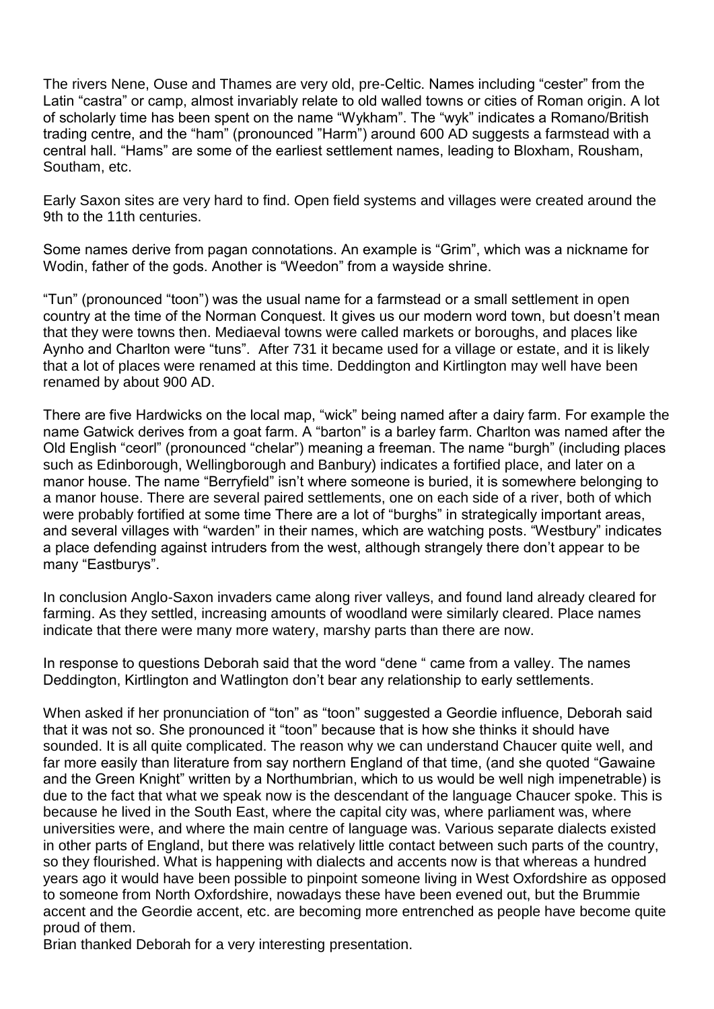The rivers Nene, Ouse and Thames are very old, pre-Celtic. Names including "cester" from the Latin "castra" or camp, almost invariably relate to old walled towns or cities of Roman origin. A lot of scholarly time has been spent on the name "Wykham". The "wyk" indicates a Romano/British trading centre, and the "ham" (pronounced "Harm") around 600 AD suggests a farmstead with a central hall. "Hams" are some of the earliest settlement names, leading to Bloxham, Rousham, Southam, etc.

Early Saxon sites are very hard to find. Open field systems and villages were created around the 9th to the 11th centuries.

Some names derive from pagan connotations. An example is "Grim", which was a nickname for Wodin, father of the gods. Another is "Weedon" from a wayside shrine.

"Tun" (pronounced "toon") was the usual name for a farmstead or a small settlement in open country at the time of the Norman Conquest. It gives us our modern word town, but doesn't mean that they were towns then. Mediaeval towns were called markets or boroughs, and places like Aynho and Charlton were "tuns". After 731 it became used for a village or estate, and it is likely that a lot of places were renamed at this time. Deddington and Kirtlington may well have been renamed by about 900 AD.

There are five Hardwicks on the local map, "wick" being named after a dairy farm. For example the name Gatwick derives from a goat farm. A "barton" is a barley farm. Charlton was named after the Old English "ceorl" (pronounced "chelar") meaning a freeman. The name "burgh" (including places such as Edinborough, Wellingborough and Banbury) indicates a fortified place, and later on a manor house. The name "Berryfield" isn't where someone is buried, it is somewhere belonging to a manor house. There are several paired settlements, one on each side of a river, both of which were probably fortified at some time There are a lot of "burghs" in strategically important areas, and several villages with "warden" in their names, which are watching posts. "Westbury" indicates a place defending against intruders from the west, although strangely there don't appear to be many "Eastburys".

In conclusion Anglo-Saxon invaders came along river valleys, and found land already cleared for farming. As they settled, increasing amounts of woodland were similarly cleared. Place names indicate that there were many more watery, marshy parts than there are now.

In response to questions Deborah said that the word "dene " came from a valley. The names Deddington, Kirtlington and Watlington don't bear any relationship to early settlements.

When asked if her pronunciation of "ton" as "toon" suggested a Geordie influence, Deborah said that it was not so. She pronounced it "toon" because that is how she thinks it should have sounded. It is all quite complicated. The reason why we can understand Chaucer quite well, and far more easily than literature from say northern England of that time, (and she quoted "Gawaine and the Green Knight" written by a Northumbrian, which to us would be well nigh impenetrable) is due to the fact that what we speak now is the descendant of the language Chaucer spoke. This is because he lived in the South East, where the capital city was, where parliament was, where universities were, and where the main centre of language was. Various separate dialects existed in other parts of England, but there was relatively little contact between such parts of the country, so they flourished. What is happening with dialects and accents now is that whereas a hundred years ago it would have been possible to pinpoint someone living in West Oxfordshire as opposed to someone from North Oxfordshire, nowadays these have been evened out, but the Brummie accent and the Geordie accent, etc. are becoming more entrenched as people have become quite proud of them.

Brian thanked Deborah for a very interesting presentation.